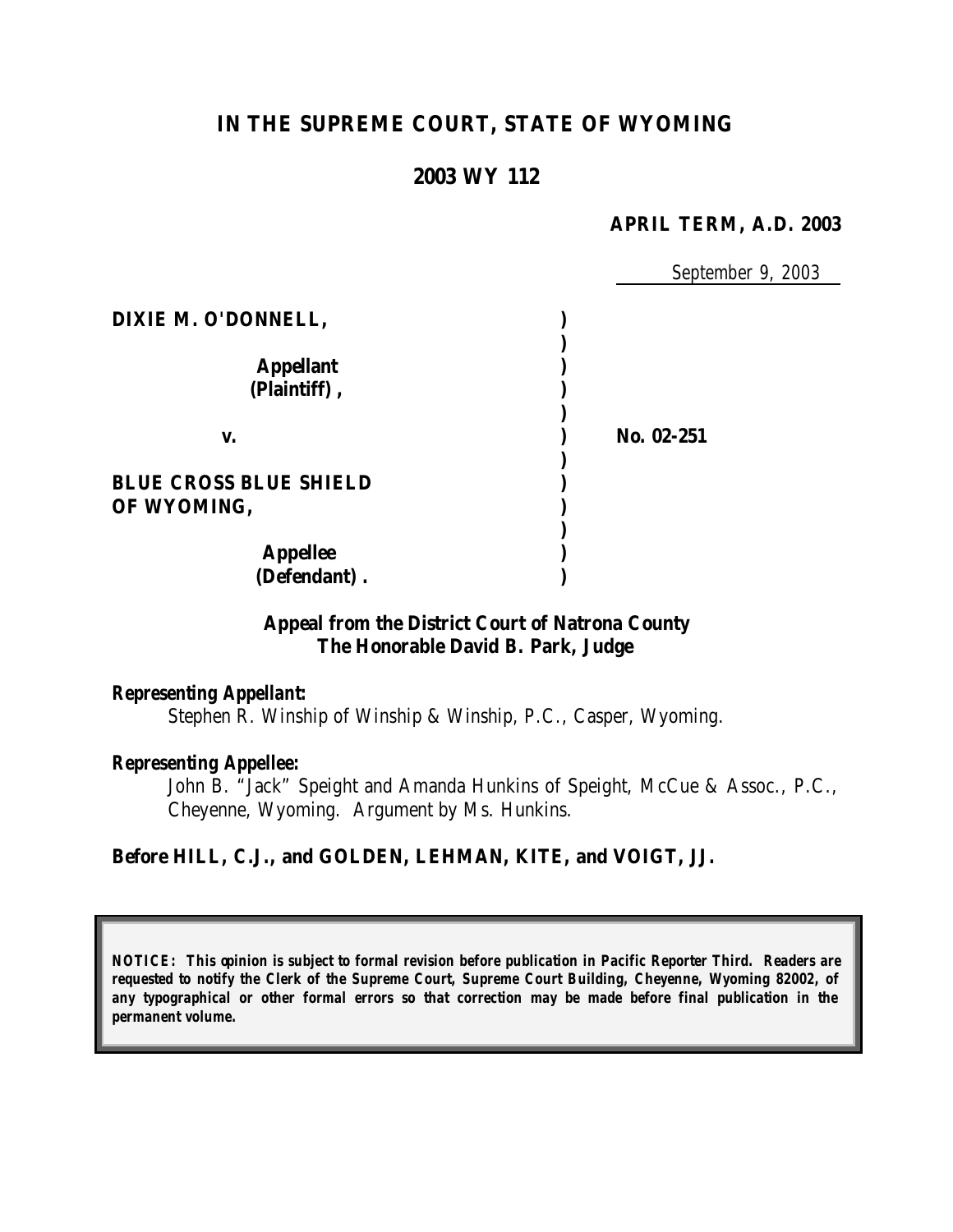# **IN THE SUPREME COURT, STATE OF WYOMING**

## **2003 WY 112**

#### **APRIL TERM, A.D. 2003**

|                               | September 9, 2003 |
|-------------------------------|-------------------|
| DIXIE M. O'DONNELL,           |                   |
| <b>Appellant</b>              |                   |
| (Plaintiff),                  |                   |
| V.                            | No. 02-251        |
|                               |                   |
| <b>BLUE CROSS BLUE SHIELD</b> |                   |
| OF WYOMING,                   |                   |
|                               |                   |
| <b>Appellee</b>               |                   |
| (Defendant).                  |                   |

### **Appeal from the District Court of Natrona County The Honorable David B. Park, Judge**

#### *Representing Appellant:*

Stephen R. Winship of Winship & Winship, P.C., Casper, Wyoming.

#### *Representing Appellee:*

John B. "Jack" Speight and Amanda Hunkins of Speight, McCue & Assoc., P.C., Cheyenne, Wyoming. Argument by Ms. Hunkins.

#### **Before HILL, C.J., and GOLDEN, LEHMAN, KITE, and VOIGT, JJ.**

*NOTICE: This opinion is subject to formal revision before publication in Pacific Reporter Third. Readers are requested to notify the Clerk of the Supreme Court, Supreme Court Building, Cheyenne, Wyoming 82002, of any typographical or other formal errors so that correction may be made before final publication in the permanent volume.*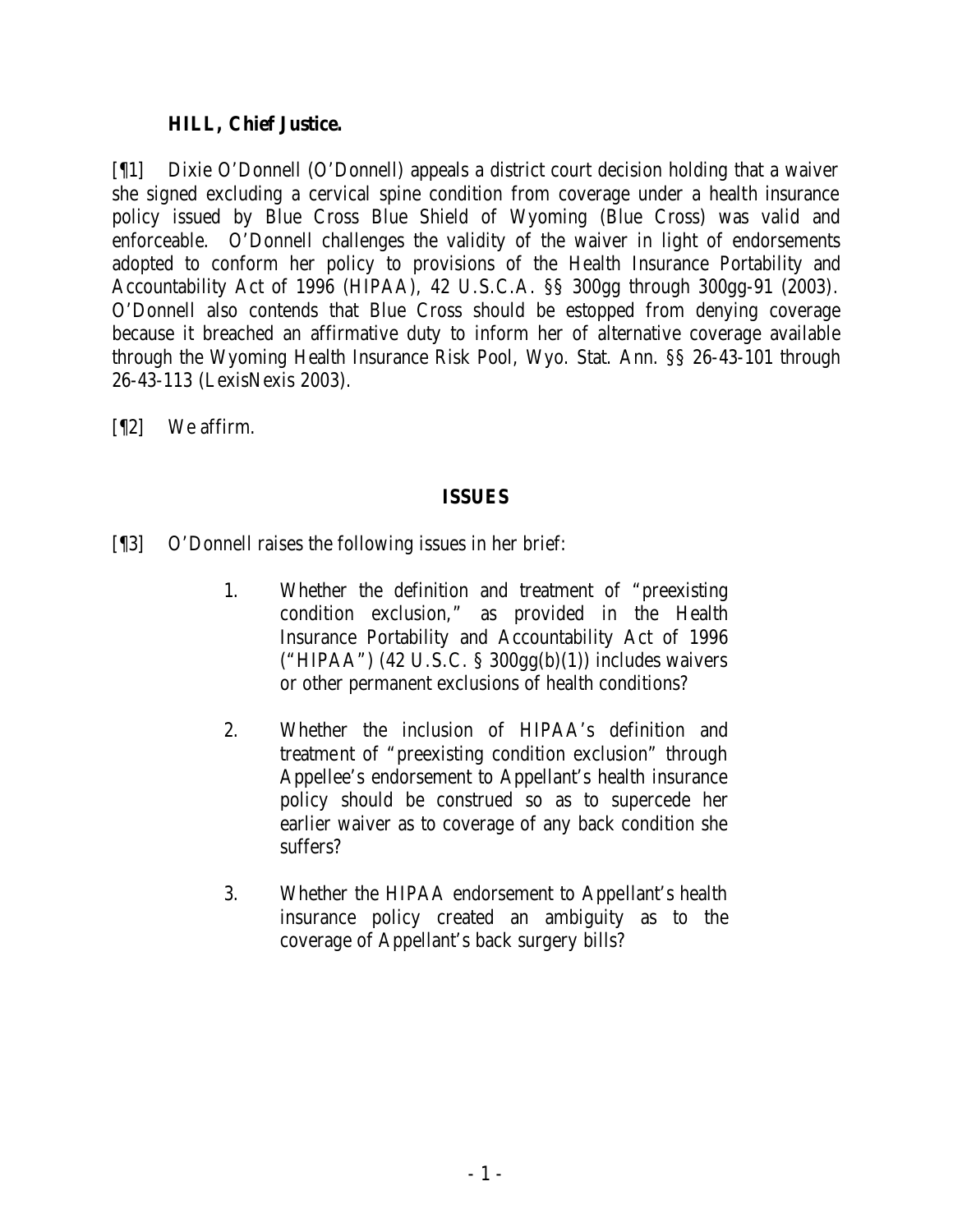#### **HILL, Chief Justice.**

[¶1] Dixie O'Donnell (O'Donnell) appeals a district court decision holding that a waiver she signed excluding a cervical spine condition from coverage under a health insurance policy issued by Blue Cross Blue Shield of Wyoming (Blue Cross) was valid and enforceable. O'Donnell challenges the validity of the waiver in light of endorsements adopted to conform her policy to provisions of the Health Insurance Portability and Accountability Act of 1996 (HIPAA), 42 U.S.C.A. §§ 300gg through 300gg-91 (2003)*.* O'Donnell also contends that Blue Cross should be estopped from denying coverage because it breached an affirmative duty to inform her of alternative coverage available through the Wyoming Health Insurance Risk Pool, Wyo. Stat. Ann. §§ 26-43-101 through 26-43-113 (LexisNexis 2003).

[¶2] We affirm.

### **ISSUES**

- [¶3] O'Donnell raises the following issues in her brief:
	- 1. Whether the definition and treatment of "preexisting condition exclusion," as provided in the Health Insurance Portability and Accountability Act of 1996 ("HIPAA") (42 U.S.C. § 300gg(b)(1)) includes waivers or other permanent exclusions of health conditions?
	- 2. Whether the inclusion of HIPAA's definition and treatment of "preexisting condition exclusion" through Appellee's endorsement to Appellant's health insurance policy should be construed so as to supercede her earlier waiver as to coverage of any back condition she suffers?
	- 3. Whether the HIPAA endorsement to Appellant's health insurance policy created an ambiguity as to the coverage of Appellant's back surgery bills?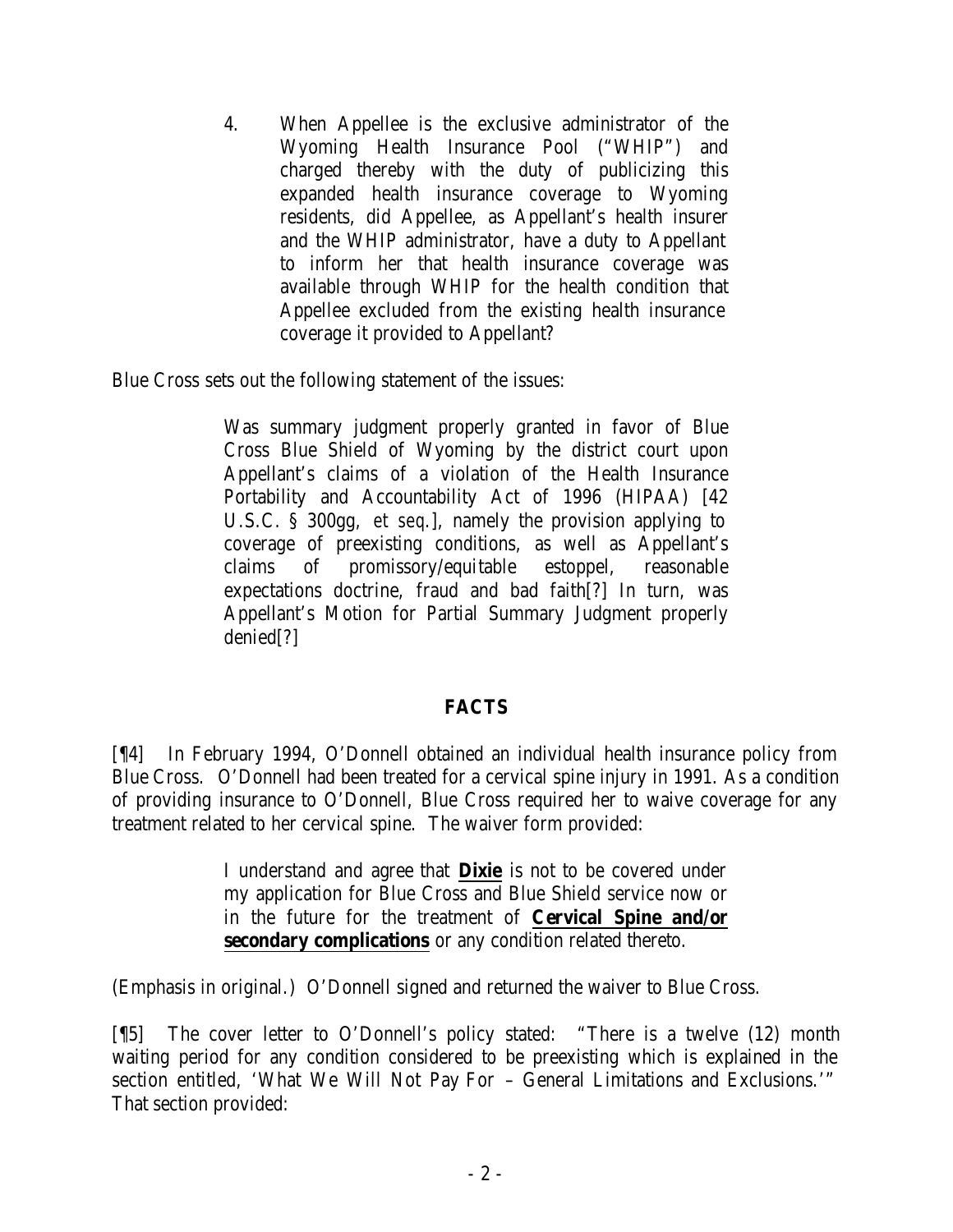4. When Appellee is the exclusive administrator of the Wyoming Health Insurance Pool ("WHIP") and charged thereby with the duty of publicizing this expanded health insurance coverage to Wyoming residents, did Appellee, as Appellant's health insurer and the WHIP administrator, have a duty to Appellant to inform her that health insurance coverage was available through WHIP for the health condition that Appellee excluded from the existing health insurance coverage it provided to Appellant?

Blue Cross sets out the following statement of the issues:

Was summary judgment properly granted in favor of Blue Cross Blue Shield of Wyoming by the district court upon Appellant's claims of a violation of the Health Insurance Portability and Accountability Act of 1996 (HIPAA) [42 U.S.C. § 300gg, *et seq*.], namely the provision applying to coverage of preexisting conditions, as well as Appellant's claims of promissory/equitable estoppel, reasonable expectations doctrine, fraud and bad faith[?] In turn, was Appellant's Motion for Partial Summary Judgment properly denied[?]

### **FACTS**

[¶4] In February 1994, O'Donnell obtained an individual health insurance policy from Blue Cross. O'Donnell had been treated for a cervical spine injury in 1991. As a condition of providing insurance to O'Donnell, Blue Cross required her to waive coverage for any treatment related to her cervical spine. The waiver form provided:

> I understand and agree that **Dixie** is not to be covered under my application for Blue Cross and Blue Shield service now or in the future for the treatment of **Cervical Spine and/or secondary complications** or any condition related thereto.

(Emphasis in original.) O'Donnell signed and returned the waiver to Blue Cross.

[¶5] The cover letter to O'Donnell's policy stated: "There is a twelve (12) month waiting period for any condition considered to be preexisting which is explained in the section entitled, 'What We Will Not Pay For – General Limitations and Exclusions.'" That section provided: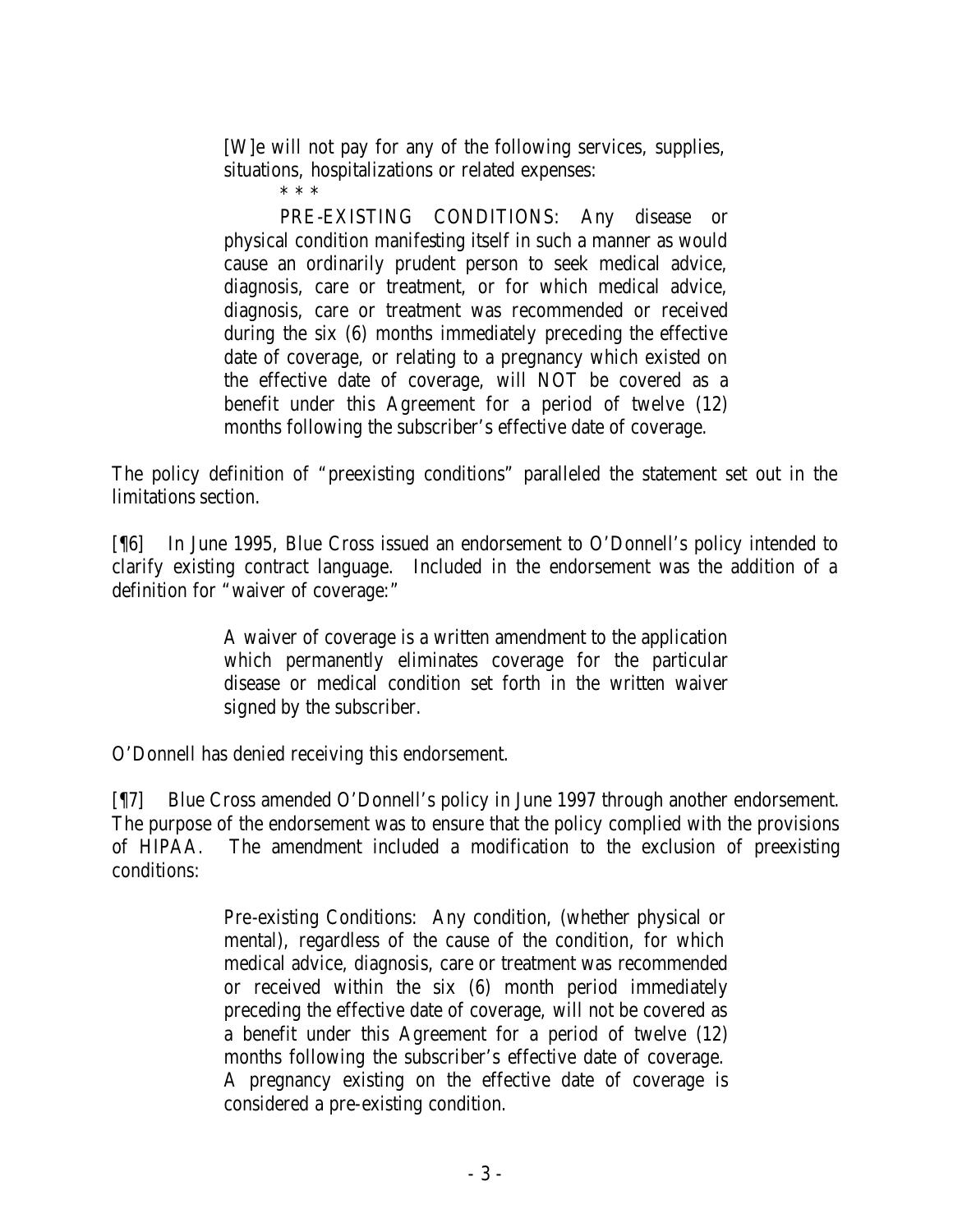[W]e will not pay for any of the following services, supplies, situations, hospitalizations or related expenses:

\* \* \*

PRE-EXISTING CONDITIONS: Any disease or physical condition manifesting itself in such a manner as would cause an ordinarily prudent person to seek medical advice, diagnosis, care or treatment, or for which medical advice, diagnosis, care or treatment was recommended or received during the six (6) months immediately preceding the effective date of coverage, or relating to a pregnancy which existed on the effective date of coverage, will NOT be covered as a benefit under this Agreement for a period of twelve (12) months following the subscriber's effective date of coverage.

The policy definition of "preexisting conditions" paralleled the statement set out in the limitations section.

[¶6] In June 1995, Blue Cross issued an endorsement to O'Donnell's policy intended to clarify existing contract language. Included in the endorsement was the addition of a definition for "waiver of coverage:"

> A waiver of coverage is a written amendment to the application which permanently eliminates coverage for the particular disease or medical condition set forth in the written waiver signed by the subscriber.

O'Donnell has denied receiving this endorsement.

[¶7] Blue Cross amended O'Donnell's policy in June 1997 through another endorsement. The purpose of the endorsement was to ensure that the policy complied with the provisions of HIPAA. The amendment included a modification to the exclusion of preexisting conditions:

> Pre-existing Conditions: Any condition, (whether physical or mental), regardless of the cause of the condition, for which medical advice, diagnosis, care or treatment was recommended or received within the six (6) month period immediately preceding the effective date of coverage, will not be covered as a benefit under this Agreement for a period of twelve (12) months following the subscriber's effective date of coverage. A pregnancy existing on the effective date of coverage is considered a pre-existing condition.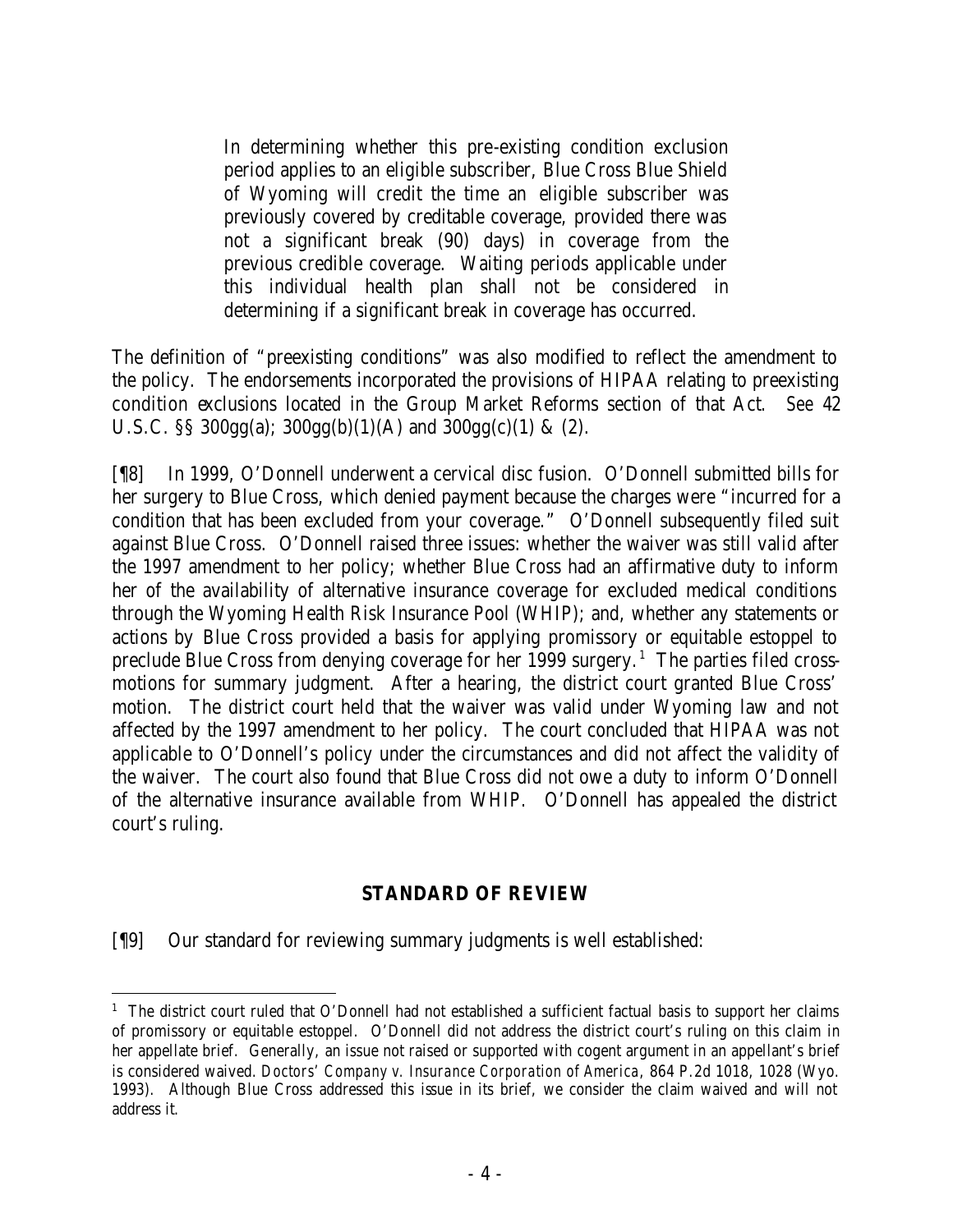In determining whether this pre-existing condition exclusion period applies to an eligible subscriber, Blue Cross Blue Shield of Wyoming will credit the time an eligible subscriber was previously covered by creditable coverage, provided there was not a significant break (90) days) in coverage from the previous credible coverage. Waiting periods applicable under this individual health plan shall not be considered in determining if a significant break in coverage has occurred.

The definition of "preexisting conditions" was also modified to reflect the amendment to the policy. The endorsements incorporated the provisions of HIPAA relating to preexisting condition exclusions located in the Group Market Reforms section of that Act. *See* 42 U.S.C. §§ 300gg(a);  $300gg(b)(1)(A)$  and  $300gg(c)(1)$  & (2).

[¶8] In 1999, O'Donnell underwent a cervical disc fusion. O'Donnell submitted bills for her surgery to Blue Cross, which denied payment because the charges were "incurred for a condition that has been excluded from your coverage." O'Donnell subsequently filed suit against Blue Cross. O'Donnell raised three issues: whether the waiver was still valid after the 1997 amendment to her policy; whether Blue Cross had an affirmative duty to inform her of the availability of alternative insurance coverage for excluded medical conditions through the Wyoming Health Risk Insurance Pool (WHIP); and, whether any statements or actions by Blue Cross provided a basis for applying promissory or equitable estoppel to preclude Blue Cross from denying coverage for her 1999 surgery.<sup>1</sup> The parties filed crossmotions for summary judgment. After a hearing, the district court granted Blue Cross' motion. The district court held that the waiver was valid under Wyoming law and not affected by the 1997 amendment to her policy. The court concluded that HIPAA was not applicable to O'Donnell's policy under the circumstances and did not affect the validity of the waiver. The court also found that Blue Cross did not owe a duty to inform O'Donnell of the alternative insurance available from WHIP. O'Donnell has appealed the district court's ruling.

### **STANDARD OF REVIEW**

[¶9] Our standard for reviewing summary judgments is well established:

<sup>&</sup>lt;sup>1</sup> The district court ruled that O'Donnell had not established a sufficient factual basis to support her claims of promissory or equitable estoppel. O'Donnell did not address the district court's ruling on this claim in her appellate brief. Generally, an issue not raised or supported with cogent argument in an appellant's brief is considered waived. *Doctors' Company v. Insurance Corporation of America*, 864 P.2d 1018, 1028 (Wyo. 1993). Although Blue Cross addressed this issue in its brief, we consider the claim waived and will not address it.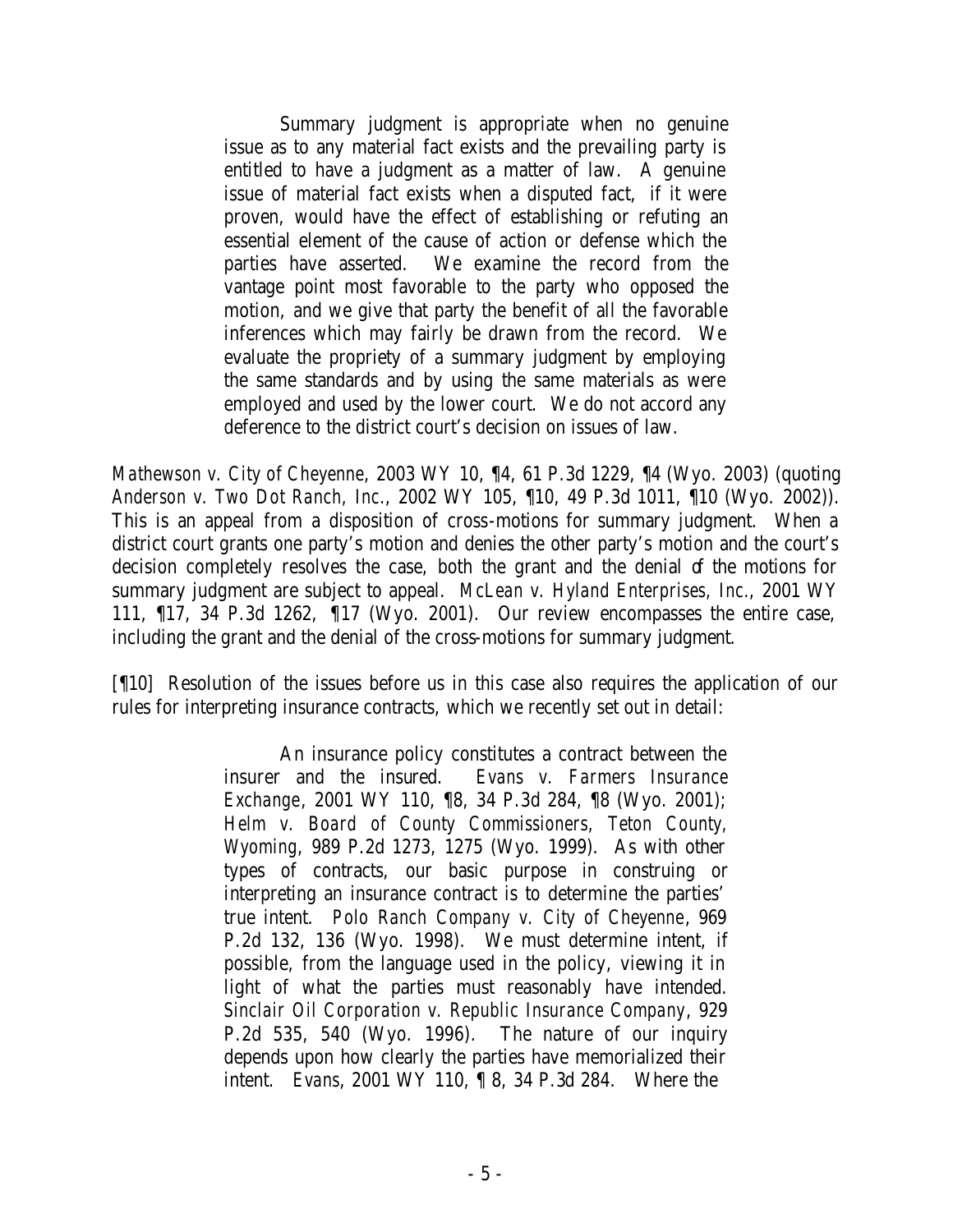Summary judgment is appropriate when no genuine issue as to any material fact exists and the prevailing party is entitled to have a judgment as a matter of law. A genuine issue of material fact exists when a disputed fact, if it were proven, would have the effect of establishing or refuting an essential element of the cause of action or defense which the parties have asserted. We examine the record from the vantage point most favorable to the party who opposed the motion, and we give that party the benefit of all the favorable inferences which may fairly be drawn from the record. We evaluate the propriety of a summary judgment by employing the same standards and by using the same materials as were employed and used by the lower court. We do not accord any deference to the district court's decision on issues of law.

*Mathewson v. City of Cheyenne*, 2003 WY 10, ¶4, 61 P.3d 1229, ¶4 (Wyo. 2003) (quoting *Anderson v. Two Dot Ranch, Inc.*, 2002 WY 105, ¶10, 49 P.3d 1011, ¶10 (Wyo. 2002)). This is an appeal from a disposition of cross-motions for summary judgment. When a district court grants one party's motion and denies the other party's motion and the court's decision completely resolves the case, both the grant and the denial of the motions for summary judgment are subject to appeal. *McLean v. Hyland Enterprises, Inc.*, 2001 WY 111, ¶17, 34 P.3d 1262, ¶17 (Wyo. 2001). Our review encompasses the entire case, including the grant and the denial of the cross-motions for summary judgment.

[¶10] Resolution of the issues before us in this case also requires the application of our rules for interpreting insurance contracts, which we recently set out in detail:

> An insurance policy constitutes a contract between the insurer and the insured. *Evans v. Farmers Insurance Exchange*, 2001 WY 110, ¶8, 34 P.3d 284, ¶8 (Wyo. 2001); *Helm v. Board of County Commissioners, Teton County, Wyoming*, 989 P.2d 1273, 1275 (Wyo. 1999). As with other types of contracts, our basic purpose in construing or interpreting an insurance contract is to determine the parties' true intent. *Polo Ranch Company v. City of Cheyenne*, 969 P.2d 132, 136 (Wyo. 1998). We must determine intent, if possible, from the language used in the policy, viewing it in light of what the parties must reasonably have intended. *Sinclair Oil Corporation v. Republic Insurance Company*, 929 P.2d 535, 540 (Wyo. 1996). The nature of our inquiry depends upon how clearly the parties have memorialized their intent. *Evans*, 2001 WY 110, ¶ 8, 34 P.3d 284. Where the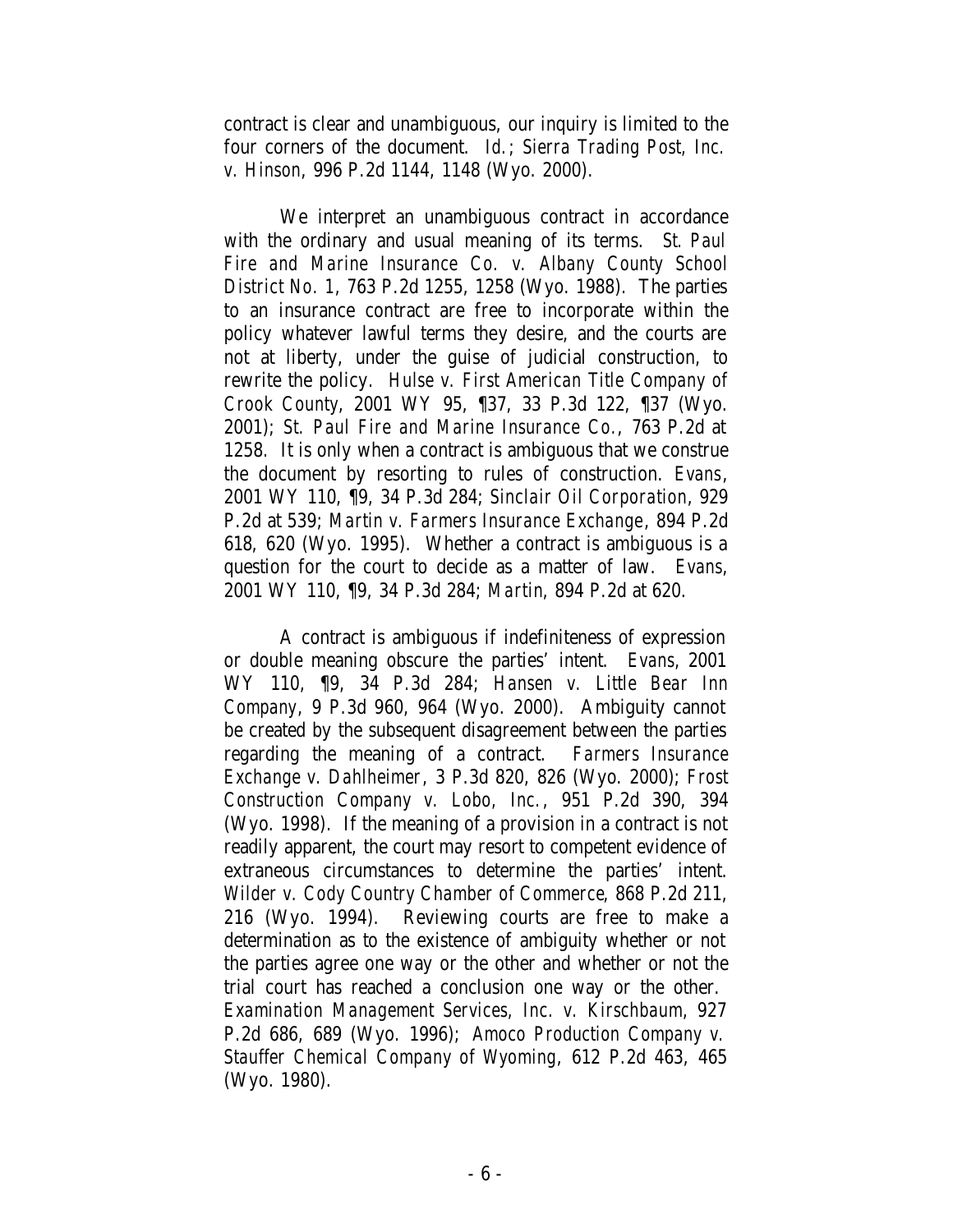contract is clear and unambiguous, our inquiry is limited to the four corners of the document. *Id.*; *Sierra Trading Post, Inc. v. Hinson*, 996 P.2d 1144, 1148 (Wyo. 2000).

We interpret an unambiguous contract in accordance with the ordinary and usual meaning of its terms. *St. Paul Fire and Marine Insurance Co. v. Albany County School District No. 1*, 763 P.2d 1255, 1258 (Wyo. 1988). The parties to an insurance contract are free to incorporate within the policy whatever lawful terms they desire, and the courts are not at liberty, under the guise of judicial construction, to rewrite the policy. *Hulse v. First American Title Company of Crook County*, 2001 WY 95, ¶37, 33 P.3d 122, ¶37 (Wyo. 2001); *St. Paul Fire and Marine Insurance Co.*, 763 P.2d at 1258. It is only when a contract is ambiguous that we construe the document by resorting to rules of construction. *Evans*, 2001 WY 110, ¶9, 34 P.3d 284; *Sinclair Oil Corporation*, 929 P.2d at 539; *Martin v. Farmers Insurance Exchange*, 894 P.2d 618, 620 (Wyo. 1995). Whether a contract is ambiguous is a question for the court to decide as a matter of law. *Evans*, 2001 WY 110, ¶9, 34 P.3d 284; *Martin*, 894 P.2d at 620.

A contract is ambiguous if indefiniteness of expression or double meaning obscure the parties' intent. *Evans*, 2001 WY 110, ¶9, 34 P.3d 284; *Hansen v. Little Bear Inn Company*, 9 P.3d 960, 964 (Wyo. 2000). Ambiguity cannot be created by the subsequent disagreement between the parties regarding the meaning of a contract. *Farmers Insurance Exchange v. Dahlheimer*, 3 P.3d 820, 826 (Wyo. 2000); *Frost Construction Company v. Lobo, Inc.*, 951 P.2d 390, 394 (Wyo. 1998). If the meaning of a provision in a contract is not readily apparent, the court may resort to competent evidence of extraneous circumstances to determine the parties' intent. *Wilder v. Cody Country Chamber of Commerce*, 868 P.2d 211, 216 (Wyo. 1994). Reviewing courts are free to make a determination as to the existence of ambiguity whether or not the parties agree one way or the other and whether or not the trial court has reached a conclusion one way or the other. *Examination Management Services, Inc. v. Kirschbaum*, 927 P.2d 686, 689 (Wyo. 1996); *Amoco Production Company v. Stauffer Chemical Company of Wyoming*, 612 P.2d 463, 465 (Wyo. 1980).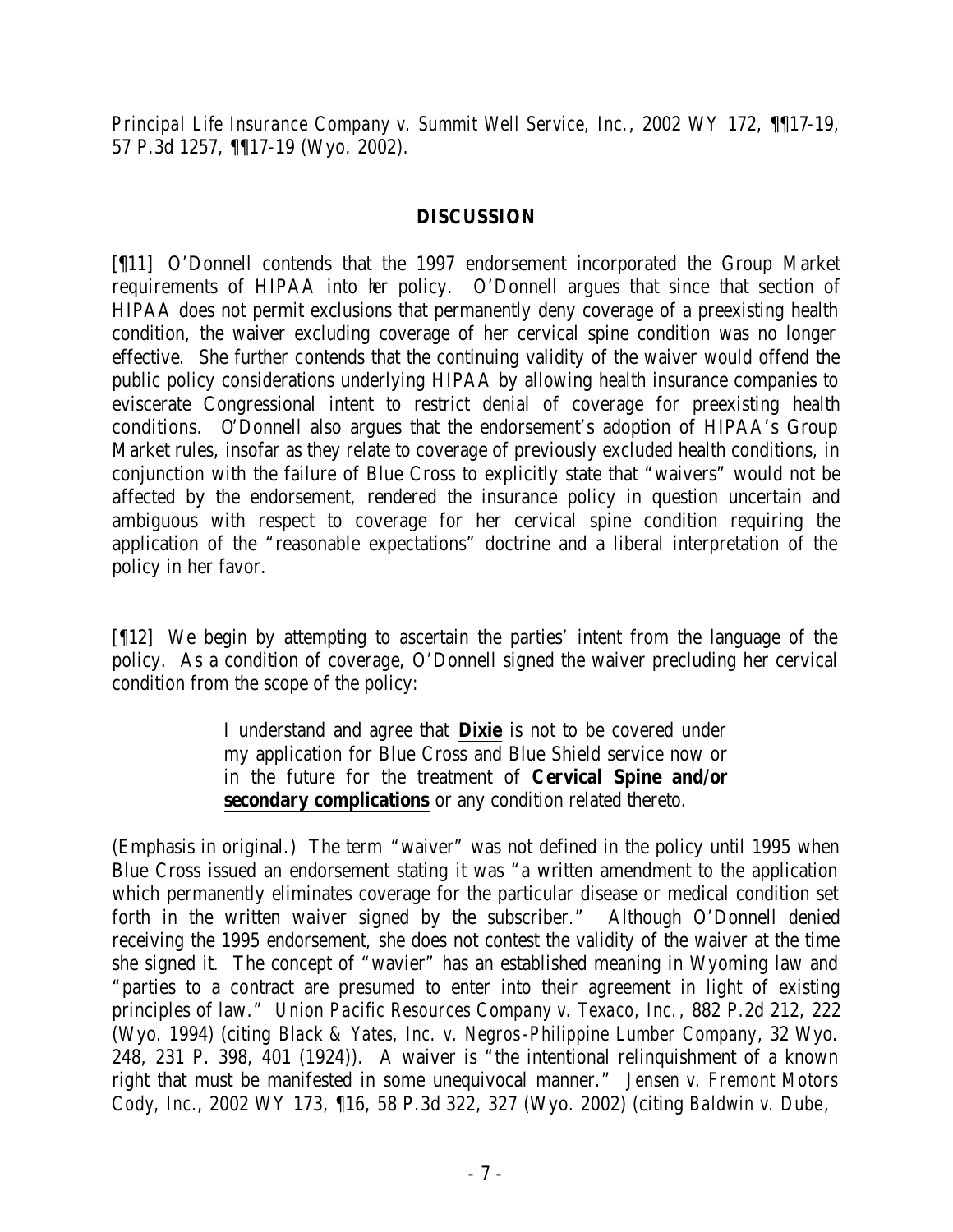*Principal Life Insurance Company v. Summit Well Service, Inc.*, 2002 WY 172, ¶¶17-19, 57 P.3d 1257, ¶¶17-19 (Wyo. 2002).

#### **DISCUSSION**

[¶11] O'Donnell contends that the 1997 endorsement incorporated the Group Market requirements of HIPAA into her policy. O'Donnell argues that since that section of HIPAA does not permit exclusions that permanently deny coverage of a preexisting health condition, the waiver excluding coverage of her cervical spine condition was no longer effective. She further contends that the continuing validity of the waiver would offend the public policy considerations underlying HIPAA by allowing health insurance companies to eviscerate Congressional intent to restrict denial of coverage for preexisting health conditions. O'Donnell also argues that the endorsement's adoption of HIPAA's Group Market rules, insofar as they relate to coverage of previously excluded health conditions, in conjunction with the failure of Blue Cross to explicitly state that "waivers" would not be affected by the endorsement, rendered the insurance policy in question uncertain and ambiguous with respect to coverage for her cervical spine condition requiring the application of the "reasonable expectations" doctrine and a liberal interpretation of the policy in her favor.

[¶12] We begin by attempting to ascertain the parties' intent from the language of the policy. As a condition of coverage, O'Donnell signed the waiver precluding her cervical condition from the scope of the policy:

> I understand and agree that **Dixie** is not to be covered under my application for Blue Cross and Blue Shield service now or in the future for the treatment of **Cervical Spine and/or secondary complications** or any condition related thereto.

(Emphasis in original.) The term "waiver" was not defined in the policy until 1995 when Blue Cross issued an endorsement stating it was "a written amendment to the application which permanently eliminates coverage for the particular disease or medical condition set forth in the written waiver signed by the subscriber." Although O'Donnell denied receiving the 1995 endorsement, she does not contest the validity of the waiver at the time she signed it. The concept of "wavier" has an established meaning in Wyoming law and "parties to a contract are presumed to enter into their agreement in light of existing principles of law." *Union Pacific Resources Company v. Texaco, Inc.*, 882 P.2d 212, 222 (Wyo. 1994) (citing *Black & Yates, Inc. v. Negros-Philippine Lumber Company*, 32 Wyo. 248, 231 P. 398, 401 (1924)). A waiver is "the intentional relinquishment of a known right that must be manifested in some unequivocal manner." *Jensen v. Fremont Motors Cody, Inc.*, 2002 WY 173, ¶16, 58 P.3d 322, 327 (Wyo. 2002) (citing *Baldwin v. Dube*,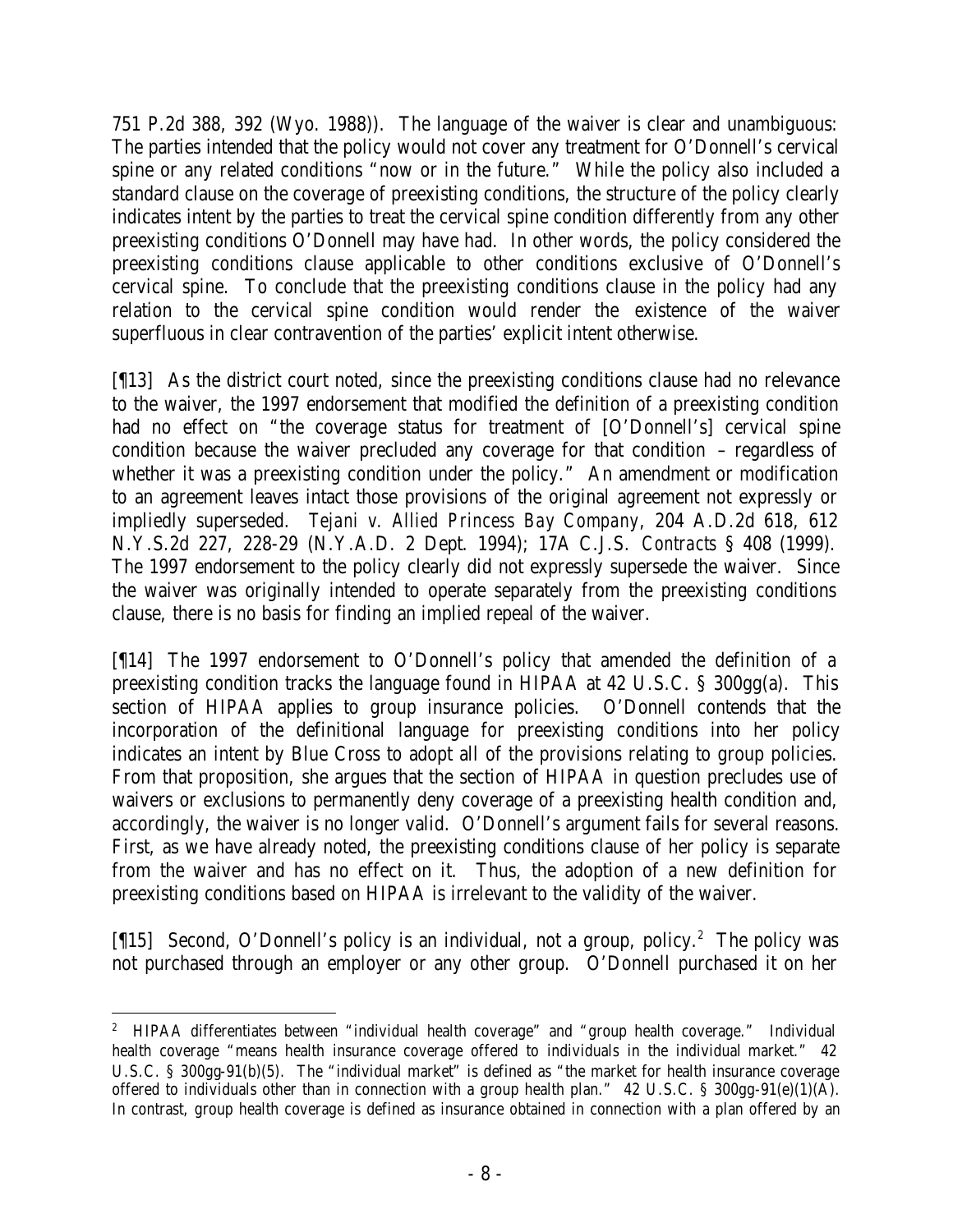751 P.2d 388, 392 (Wyo. 1988)). The language of the waiver is clear and unambiguous: The parties intended that the policy would not cover any treatment for O'Donnell's cervical spine or any related conditions "now or in the future." While the policy also included a standard clause on the coverage of preexisting conditions, the structure of the policy clearly indicates intent by the parties to treat the cervical spine condition differently from any other preexisting conditions O'Donnell may have had. In other words, the policy considered the preexisting conditions clause applicable to other conditions exclusive of O'Donnell's cervical spine. To conclude that the preexisting conditions clause in the policy had any relation to the cervical spine condition would render the existence of the waiver superfluous in clear contravention of the parties' explicit intent otherwise.

[¶13] As the district court noted, since the preexisting conditions clause had no relevance to the waiver, the 1997 endorsement that modified the definition of a preexisting condition had no effect on "the coverage status for treatment of [O'Donnell's] cervical spine condition because the waiver precluded any coverage for that condition – regardless of whether it was a preexisting condition under the policy." An amendment or modification to an agreement leaves intact those provisions of the original agreement not expressly or impliedly superseded. *Tejani v. Allied Princess Bay Company*, 204 A.D.2d 618, 612 N.Y.S.2d 227, 228-29 (N.Y.A.D. 2 Dept. 1994); 17A C.J.S. *Contracts* § 408 (1999). The 1997 endorsement to the policy clearly did not expressly supersede the waiver. Since the waiver was originally intended to operate separately from the preexisting conditions clause, there is no basis for finding an implied repeal of the waiver.

[¶14] The 1997 endorsement to O'Donnell's policy that amended the definition of a preexisting condition tracks the language found in HIPAA at 42 U.S.C. § 300gg(a). This section of HIPAA applies to group insurance policies. O'Donnell contends that the incorporation of the definitional language for preexisting conditions into her policy indicates an intent by Blue Cross to adopt all of the provisions relating to group policies. From that proposition, she argues that the section of HIPAA in question precludes use of waivers or exclusions to permanently deny coverage of a preexisting health condition and, accordingly, the waiver is no longer valid. O'Donnell's argument fails for several reasons. First, as we have already noted, the preexisting conditions clause of her policy is separate from the waiver and has no effect on it. Thus, the adoption of a new definition for preexisting conditions based on HIPAA is irrelevant to the validity of the waiver.

[15] Second, O'Donnell's policy is an individual, not a group, policy.<sup>2</sup> The policy was not purchased through an employer or any other group. O'Donnell purchased it on her

 <sup>2</sup> HIPAA differentiates between "individual health coverage" and "group health coverage." Individual health coverage "means health insurance coverage offered to individuals in the individual market." 42 U.S.C. § 300gg-91(b)(5). The "individual market" is defined as "the market for health insurance coverage offered to individuals other than in connection with a group health plan." 42 U.S.C. § 300gg-91(e)(1)(A). In contrast, group health coverage is defined as insurance obtained in connection with a plan offered by an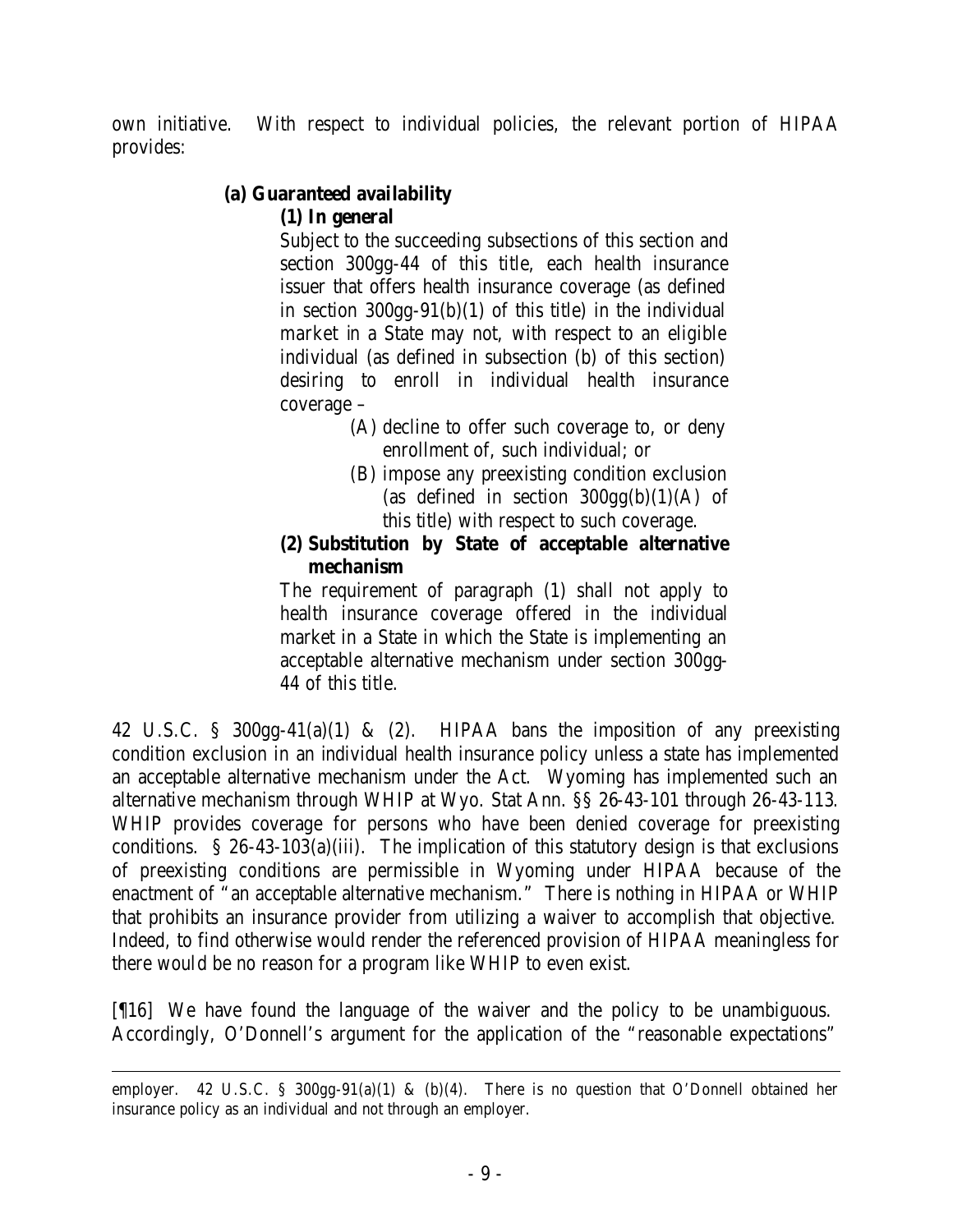own initiative. With respect to individual policies, the relevant portion of HIPAA provides:

# **(a) Guaranteed availability**

## **(1) In general**

Subject to the succeeding subsections of this section and section 300gg-44 of this title, each health insurance issuer that offers health insurance coverage (as defined in section  $300gg-91(b)(1)$  of this title) in the individual market in a State may not, with respect to an eligible individual (as defined in subsection (b) of this section) desiring to enroll in individual health insurance coverage –

- (A) decline to offer such coverage to, or deny enrollment of, such individual; or
- (B) impose any preexisting condition exclusion (as defined in section  $300gg(b)(1)(A)$  of this title) with respect to such coverage.

## **(2) Substitution by State of acceptable alternative mechanism**

The requirement of paragraph (1) shall not apply to health insurance coverage offered in the individual market in a State in which the State is implementing an acceptable alternative mechanism under section 300gg-44 of this title.

42 U.S.C. § 300gg-41(a)(1) & (2). HIPAA bans the imposition of any preexisting condition exclusion in an individual health insurance policy unless a state has implemented an acceptable alternative mechanism under the Act. Wyoming has implemented such an alternative mechanism through WHIP at Wyo. Stat Ann. §§ 26-43-101 through 26-43-113*.* WHIP provides coverage for persons who have been denied coverage for preexisting conditions. § 26-43-103(a)(iii). The implication of this statutory design is that exclusions of preexisting conditions are permissible in Wyoming under HIPAA because of the enactment of "an acceptable alternative mechanism." There is nothing in HIPAA or WHIP that prohibits an insurance provider from utilizing a waiver to accomplish that objective. Indeed, to find otherwise would render the referenced provision of HIPAA meaningless for there would be no reason for a program like WHIP to even exist.

[¶16] We have found the language of the waiver and the policy to be unambiguous. Accordingly, O'Donnell's argument for the application of the "reasonable expectations"

 employer. 42 U.S.C. § 300gg-91(a)(1) & (b)(4). There is no question that O'Donnell obtained her insurance policy as an individual and not through an employer.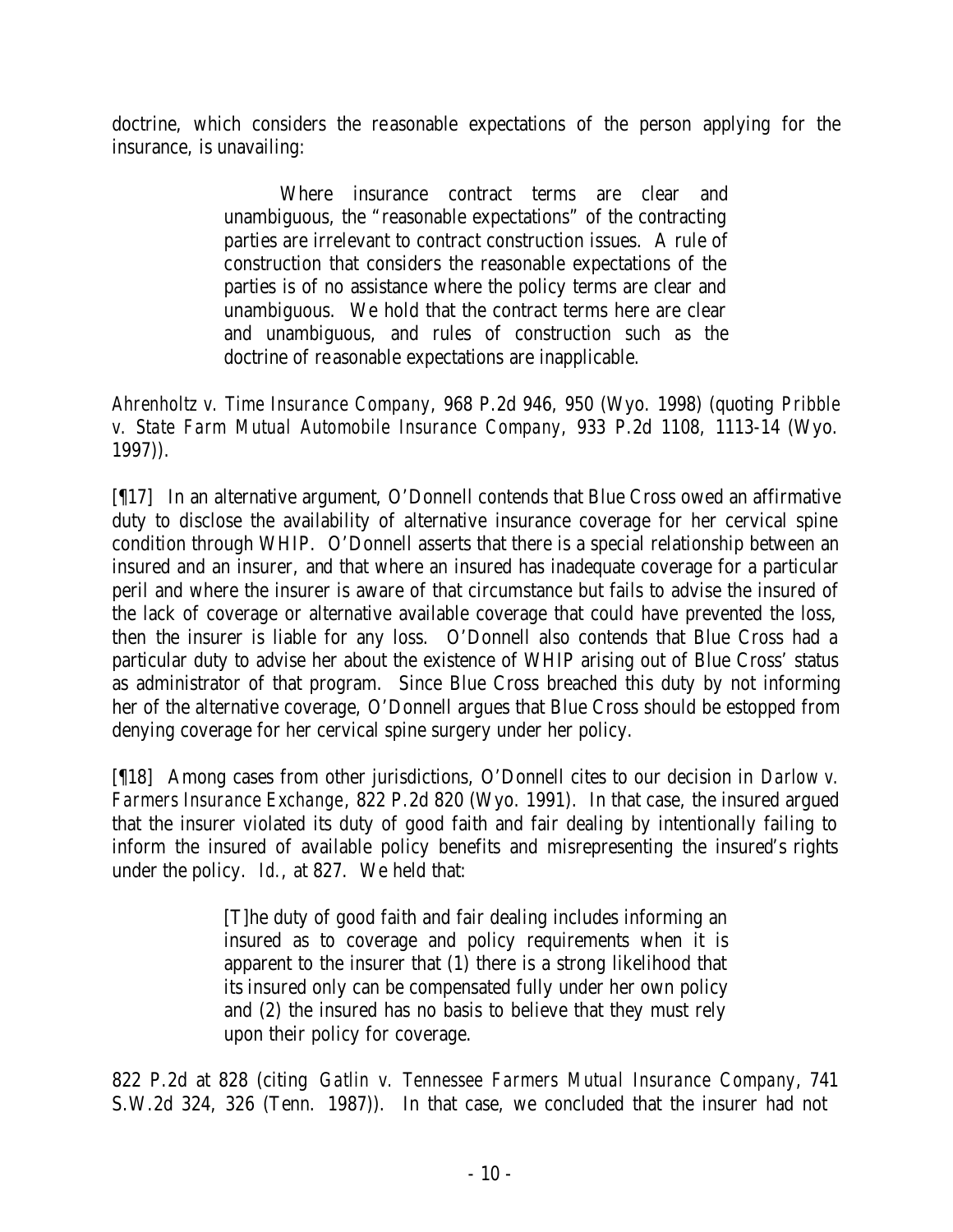doctrine, which considers the reasonable expectations of the person applying for the insurance, is unavailing:

> Where insurance contract terms are clear and unambiguous, the "reasonable expectations" of the contracting parties are irrelevant to contract construction issues. A rule of construction that considers the reasonable expectations of the parties is of no assistance where the policy terms are clear and unambiguous. We hold that the contract terms here are clear and unambiguous, and rules of construction such as the doctrine of reasonable expectations are inapplicable.

*Ahrenholtz v. Time Insurance Company*, 968 P.2d 946, 950 (Wyo. 1998) (quoting *Pribble v. State Farm Mutual Automobile Insurance Company*, 933 P.2d 1108, 1113-14 (Wyo. 1997)).

[¶17] In an alternative argument, O'Donnell contends that Blue Cross owed an affirmative duty to disclose the availability of alternative insurance coverage for her cervical spine condition through WHIP. O'Donnell asserts that there is a special relationship between an insured and an insurer, and that where an insured has inadequate coverage for a particular peril and where the insurer is aware of that circumstance but fails to advise the insured of the lack of coverage or alternative available coverage that could have prevented the loss, then the insurer is liable for any loss. O'Donnell also contends that Blue Cross had a particular duty to advise her about the existence of WHIP arising out of Blue Cross' status as administrator of that program. Since Blue Cross breached this duty by not informing her of the alternative coverage, O'Donnell argues that Blue Cross should be estopped from denying coverage for her cervical spine surgery under her policy.

[¶18] Among cases from other jurisdictions, O'Donnell cites to our decision in *Darlow v. Farmers Insurance Exchange*, 822 P.2d 820 (Wyo. 1991). In that case, the insured argued that the insurer violated its duty of good faith and fair dealing by intentionally failing to inform the insured of available policy benefits and misrepresenting the insured's rights under the policy. *Id.*, at 827. We held that:

> [T]he duty of good faith and fair dealing includes informing an insured as to coverage and policy requirements when it is apparent to the insurer that (1) there is a strong likelihood that its insured only can be compensated fully under her own policy and (2) the insured has no basis to believe that they must rely upon their policy for coverage.

822 P.2d at 828 (citing *Gatlin v. Tennessee Farmers Mutual Insurance Company*, 741 S.W.2d 324, 326 (Tenn. 1987)). In that case, we concluded that the insurer had not